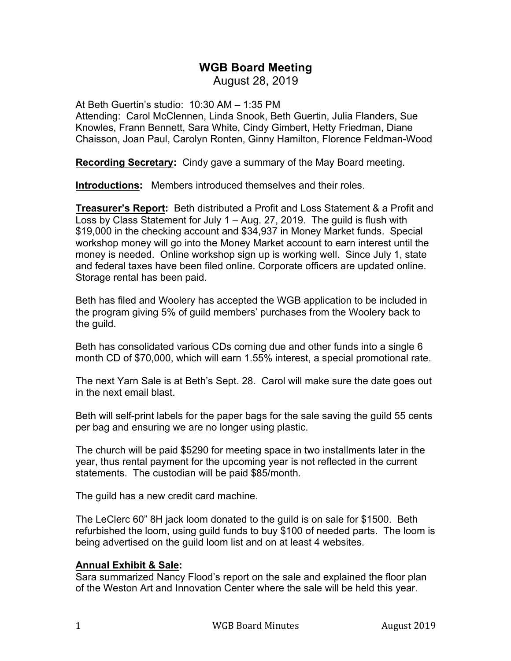# **WGB Board Meeting**

August 28, 2019

At Beth Guertin's studio: 10:30 AM – 1:35 PM Attending: Carol McClennen, Linda Snook, Beth Guertin, Julia Flanders, Sue Knowles, Frann Bennett, Sara White, Cindy Gimbert, Hetty Friedman, Diane Chaisson, Joan Paul, Carolyn Ronten, Ginny Hamilton, Florence Feldman-Wood

**Recording Secretary:** Cindy gave a summary of the May Board meeting.

**Introductions:** Members introduced themselves and their roles.

**Treasurer's Report:** Beth distributed a Profit and Loss Statement & a Profit and Loss by Class Statement for July 1 – Aug. 27, 2019. The guild is flush with \$19,000 in the checking account and \$34,937 in Money Market funds. Special workshop money will go into the Money Market account to earn interest until the money is needed. Online workshop sign up is working well. Since July 1, state and federal taxes have been filed online. Corporate officers are updated online. Storage rental has been paid.

Beth has filed and Woolery has accepted the WGB application to be included in the program giving 5% of guild members' purchases from the Woolery back to the guild.

Beth has consolidated various CDs coming due and other funds into a single 6 month CD of \$70,000, which will earn 1.55% interest, a special promotional rate.

The next Yarn Sale is at Beth's Sept. 28. Carol will make sure the date goes out in the next email blast.

Beth will self-print labels for the paper bags for the sale saving the guild 55 cents per bag and ensuring we are no longer using plastic.

The church will be paid \$5290 for meeting space in two installments later in the year, thus rental payment for the upcoming year is not reflected in the current statements. The custodian will be paid \$85/month.

The guild has a new credit card machine.

The LeClerc 60" 8H jack loom donated to the guild is on sale for \$1500. Beth refurbished the loom, using guild funds to buy \$100 of needed parts. The loom is being advertised on the guild loom list and on at least 4 websites.

#### **Annual Exhibit & Sale:**

Sara summarized Nancy Flood's report on the sale and explained the floor plan of the Weston Art and Innovation Center where the sale will be held this year.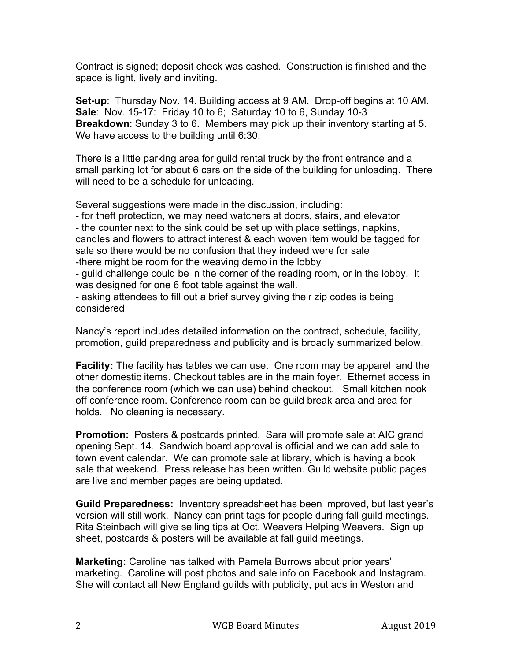Contract is signed; deposit check was cashed. Construction is finished and the space is light, lively and inviting.

**Set-up**: Thursday Nov. 14. Building access at 9 AM. Drop-off begins at 10 AM. **Sale**: Nov. 15-17: Friday 10 to 6; Saturday 10 to 6, Sunday 10-3 **Breakdown**: Sunday 3 to 6. Members may pick up their inventory starting at 5. We have access to the building until 6:30.

There is a little parking area for guild rental truck by the front entrance and a small parking lot for about 6 cars on the side of the building for unloading. There will need to be a schedule for unloading.

Several suggestions were made in the discussion, including:

- for theft protection, we may need watchers at doors, stairs, and elevator - the counter next to the sink could be set up with place settings, napkins, candles and flowers to attract interest & each woven item would be tagged for sale so there would be no confusion that they indeed were for sale -there might be room for the weaving demo in the lobby

- guild challenge could be in the corner of the reading room, or in the lobby. It was designed for one 6 foot table against the wall.

- asking attendees to fill out a brief survey giving their zip codes is being considered

Nancy's report includes detailed information on the contract, schedule, facility, promotion, guild preparedness and publicity and is broadly summarized below.

**Facility:** The facility has tables we can use. One room may be apparel and the other domestic items. Checkout tables are in the main foyer. Ethernet access in the conference room (which we can use) behind checkout. Small kitchen nook off conference room. Conference room can be guild break area and area for holds. No cleaning is necessary.

**Promotion:** Posters & postcards printed. Sara will promote sale at AIC grand opening Sept. 14. Sandwich board approval is official and we can add sale to town event calendar. We can promote sale at library, which is having a book sale that weekend. Press release has been written. Guild website public pages are live and member pages are being updated.

**Guild Preparedness:** Inventory spreadsheet has been improved, but last year's version will still work. Nancy can print tags for people during fall guild meetings. Rita Steinbach will give selling tips at Oct. Weavers Helping Weavers. Sign up sheet, postcards & posters will be available at fall guild meetings.

**Marketing:** Caroline has talked with Pamela Burrows about prior years' marketing. Caroline will post photos and sale info on Facebook and Instagram. She will contact all New England guilds with publicity, put ads in Weston and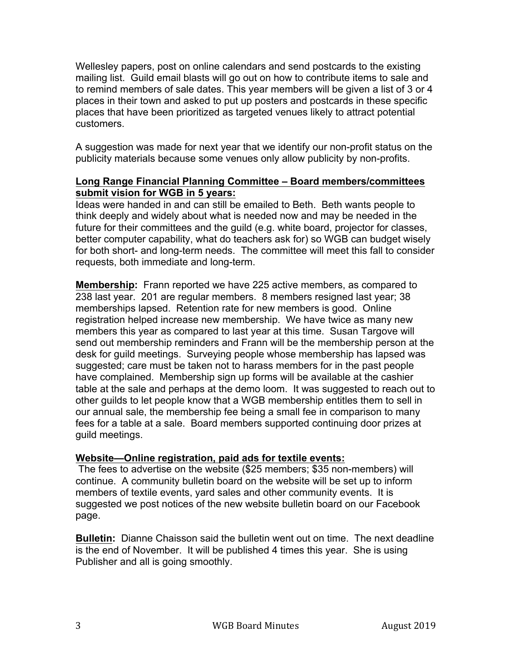Wellesley papers, post on online calendars and send postcards to the existing mailing list. Guild email blasts will go out on how to contribute items to sale and to remind members of sale dates. This year members will be given a list of 3 or 4 places in their town and asked to put up posters and postcards in these specific places that have been prioritized as targeted venues likely to attract potential customers.

A suggestion was made for next year that we identify our non-profit status on the publicity materials because some venues only allow publicity by non-profits.

## **Long Range Financial Planning Committee – Board members/committees submit vision for WGB in 5 years:**

Ideas were handed in and can still be emailed to Beth. Beth wants people to think deeply and widely about what is needed now and may be needed in the future for their committees and the guild (e.g. white board, projector for classes, better computer capability, what do teachers ask for) so WGB can budget wisely for both short- and long-term needs. The committee will meet this fall to consider requests, both immediate and long-term.

**Membership:** Frann reported we have 225 active members, as compared to 238 last year. 201 are regular members. 8 members resigned last year; 38 memberships lapsed. Retention rate for new members is good. Online registration helped increase new membership. We have twice as many new members this year as compared to last year at this time. Susan Targove will send out membership reminders and Frann will be the membership person at the desk for guild meetings. Surveying people whose membership has lapsed was suggested; care must be taken not to harass members for in the past people have complained. Membership sign up forms will be available at the cashier table at the sale and perhaps at the demo loom. It was suggested to reach out to other guilds to let people know that a WGB membership entitles them to sell in our annual sale, the membership fee being a small fee in comparison to many fees for a table at a sale. Board members supported continuing door prizes at guild meetings.

# **Website—Online registration, paid ads for textile events:**

The fees to advertise on the website (\$25 members; \$35 non-members) will continue. A community bulletin board on the website will be set up to inform members of textile events, yard sales and other community events. It is suggested we post notices of the new website bulletin board on our Facebook page.

**Bulletin:** Dianne Chaisson said the bulletin went out on time. The next deadline is the end of November. It will be published 4 times this year. She is using Publisher and all is going smoothly.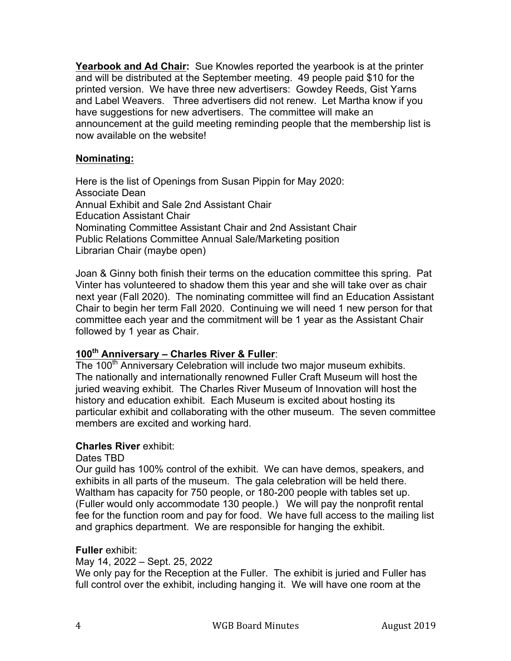**Yearbook and Ad Chair:** Sue Knowles reported the yearbook is at the printer and will be distributed at the September meeting. 49 people paid \$10 for the printed version. We have three new advertisers: Gowdey Reeds, Gist Yarns and Label Weavers. Three advertisers did not renew. Let Martha know if you have suggestions for new advertisers. The committee will make an announcement at the guild meeting reminding people that the membership list is now available on the website!

## **Nominating:**

Here is the list of Openings from Susan Pippin for May 2020: Associate Dean Annual Exhibit and Sale 2nd Assistant Chair Education Assistant Chair Nominating Committee Assistant Chair and 2nd Assistant Chair Public Relations Committee Annual Sale/Marketing position Librarian Chair (maybe open)

Joan & Ginny both finish their terms on the education committee this spring. Pat Vinter has volunteered to shadow them this year and she will take over as chair next year (Fall 2020). The nominating committee will find an Education Assistant Chair to begin her term Fall 2020. Continuing we will need 1 new person for that committee each year and the commitment will be 1 year as the Assistant Chair followed by 1 year as Chair.

# **100th Anniversary – Charles River & Fuller**:

The 100<sup>th</sup> Anniversary Celebration will include two major museum exhibits. The nationally and internationally renowned Fuller Craft Museum will host the juried weaving exhibit. The Charles River Museum of Innovation will host the history and education exhibit. Each Museum is excited about hosting its particular exhibit and collaborating with the other museum. The seven committee members are excited and working hard.

#### **Charles River** exhibit:

#### Dates TBD

Our guild has 100% control of the exhibit. We can have demos, speakers, and exhibits in all parts of the museum. The gala celebration will be held there. Waltham has capacity for 750 people, or 180-200 people with tables set up. (Fuller would only accommodate 130 people.) We will pay the nonprofit rental fee for the function room and pay for food. We have full access to the mailing list and graphics department. We are responsible for hanging the exhibit.

#### **Fuller** exhibit:

May 14, 2022 – Sept. 25, 2022

We only pay for the Reception at the Fuller. The exhibit is juried and Fuller has full control over the exhibit, including hanging it. We will have one room at the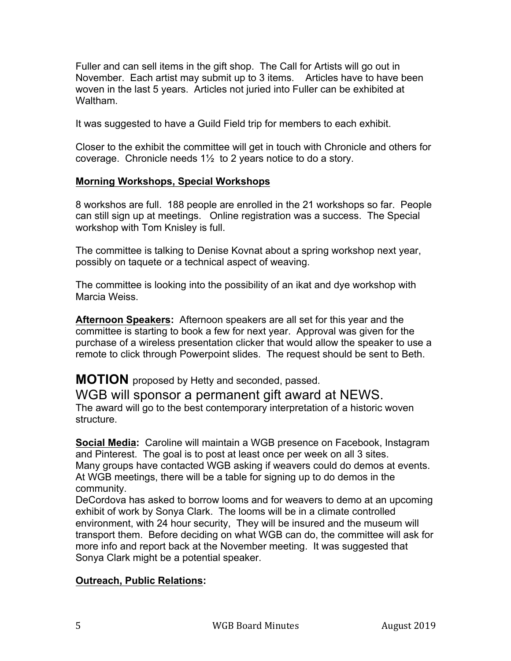Fuller and can sell items in the gift shop. The Call for Artists will go out in November. Each artist may submit up to 3 items. Articles have to have been woven in the last 5 years. Articles not juried into Fuller can be exhibited at Waltham.

It was suggested to have a Guild Field trip for members to each exhibit.

Closer to the exhibit the committee will get in touch with Chronicle and others for coverage. Chronicle needs 1½ to 2 years notice to do a story.

## **Morning Workshops, Special Workshops**

8 workshos are full. 188 people are enrolled in the 21 workshops so far. People can still sign up at meetings. Online registration was a success. The Special workshop with Tom Knisley is full.

The committee is talking to Denise Kovnat about a spring workshop next year, possibly on taquete or a technical aspect of weaving.

The committee is looking into the possibility of an ikat and dye workshop with Marcia Weiss.

**Afternoon Speakers:** Afternoon speakers are all set for this year and the committee is starting to book a few for next year. Approval was given for the purchase of a wireless presentation clicker that would allow the speaker to use a remote to click through Powerpoint slides. The request should be sent to Beth.

**MOTION** proposed by Hetty and seconded, passed.

WGB will sponsor a permanent gift award at NEWS. The award will go to the best contemporary interpretation of a historic woven structure.

**Social Media:** Caroline will maintain a WGB presence on Facebook, Instagram and Pinterest. The goal is to post at least once per week on all 3 sites. Many groups have contacted WGB asking if weavers could do demos at events. At WGB meetings, there will be a table for signing up to do demos in the community.

DeCordova has asked to borrow looms and for weavers to demo at an upcoming exhibit of work by Sonya Clark. The looms will be in a climate controlled environment, with 24 hour security, They will be insured and the museum will transport them. Before deciding on what WGB can do, the committee will ask for more info and report back at the November meeting. It was suggested that Sonya Clark might be a potential speaker.

# **Outreach, Public Relations:**